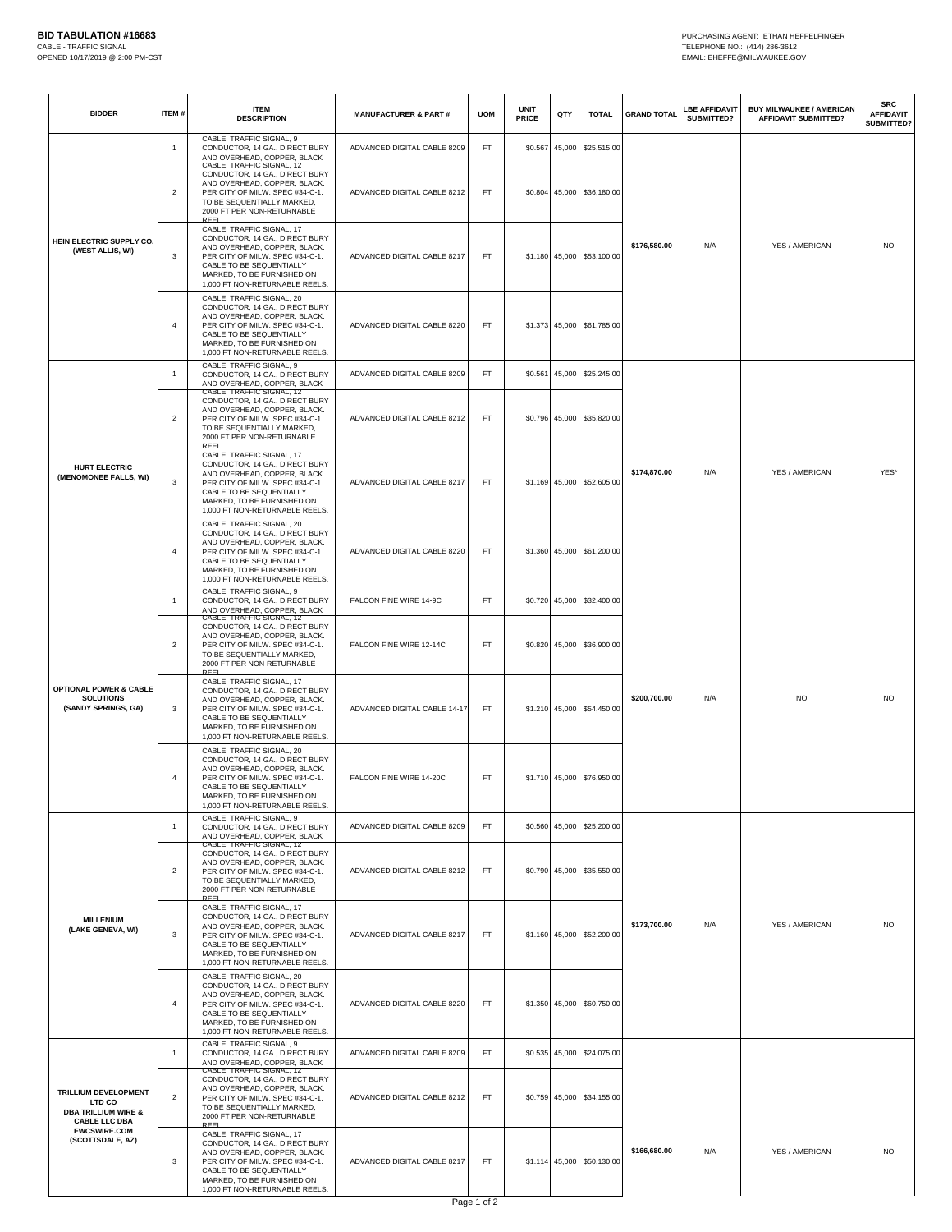| <b>BIDDER</b>                                                                                                                       | ITEM#          | <b>ITEM</b><br><b>DESCRIPTION</b>                                                                                                                                                                                          | <b>MANUFACTURER &amp; PART#</b> | <b>UOM</b>         | <b>UNIT</b><br><b>PRICE</b> | QTY            | <b>TOTAL</b>               | <b>GRAND TOTAL</b> | <b>LBE AFFIDAVIT</b><br>SUBMITTED? | <b>BUY MILWAUKEE / AMERICAN</b><br><b>AFFIDAVIT SUBMITTED?</b> | <b>SRC</b><br><b>AFFIDAVIT</b><br>SUBMITTED? |
|-------------------------------------------------------------------------------------------------------------------------------------|----------------|----------------------------------------------------------------------------------------------------------------------------------------------------------------------------------------------------------------------------|---------------------------------|--------------------|-----------------------------|----------------|----------------------------|--------------------|------------------------------------|----------------------------------------------------------------|----------------------------------------------|
| HEIN ELECTRIC SUPPLY CO.<br>(WEST ALLIS, WI)                                                                                        | -1             | CABLE, TRAFFIC SIGNAL, 9<br>CONDUCTOR, 14 GA., DIRECT BURY<br>AND OVERHEAD, COPPER, BLACK                                                                                                                                  | ADVANCED DIGITAL CABLE 8209     | FT.                | \$0.567                     |                | 45,000 \$25,515.00         | \$176,580.00       | N/A                                | YES / AMERICAN                                                 | <b>NO</b>                                    |
|                                                                                                                                     | $\overline{2}$ | CABLE, IRAFFIC SIGNAL, 12<br>CONDUCTOR, 14 GA., DIRECT BURY<br>AND OVERHEAD, COPPER, BLACK.<br>PER CITY OF MILW. SPEC #34-C-1.<br>TO BE SEQUENTIALLY MARKED,<br>2000 FT PER NON-RETURNABLE<br>RFFI                         | ADVANCED DIGITAL CABLE 8212     | FT                 |                             |                | \$0.804 45,000 \$36,180.00 |                    |                                    |                                                                |                                              |
|                                                                                                                                     | 3              | CABLE, TRAFFIC SIGNAL, 17<br>CONDUCTOR, 14 GA., DIRECT BURY<br>AND OVERHEAD, COPPER, BLACK.<br>PER CITY OF MILW. SPEC #34-C-1.<br>CABLE TO BE SEQUENTIALLY<br>MARKED, TO BE FURNISHED ON<br>1,000 FT NON-RETURNABLE REELS. | ADVANCED DIGITAL CABLE 8217     | FT                 |                             |                | \$1.180 45,000 \$53,100.00 |                    |                                    |                                                                |                                              |
|                                                                                                                                     | 4              | CABLE, TRAFFIC SIGNAL, 20<br>CONDUCTOR, 14 GA., DIRECT BURY<br>AND OVERHEAD, COPPER, BLACK.<br>PER CITY OF MILW. SPEC #34-C-1.<br>CABLE TO BE SEQUENTIALLY<br>MARKED, TO BE FURNISHED ON<br>1,000 FT NON-RETURNABLE REELS. | ADVANCED DIGITAL CABLE 8220     | FT.                |                             |                | \$1.373 45,000 \$61,785.00 |                    |                                    |                                                                |                                              |
| <b>HURT ELECTRIC</b><br>(MENOMONEE FALLS, WI)                                                                                       | $\overline{1}$ | CABLE, TRAFFIC SIGNAL, 9<br>CONDUCTOR, 14 GA., DIRECT BURY<br>AND OVERHEAD, COPPER, BLACK                                                                                                                                  | ADVANCED DIGITAL CABLE 8209     | FT.                |                             |                | \$0.561 45,000 \$25,245.00 | \$174,870.00       | N/A                                | YES / AMERICAN                                                 | YES*                                         |
|                                                                                                                                     | $\overline{2}$ | CABLE, IRAFFIC SIGNAL, 12<br>CONDUCTOR, 14 GA., DIRECT BURY<br>AND OVERHEAD, COPPER, BLACK.<br>PER CITY OF MILW. SPEC #34-C-1.<br>TO BE SEQUENTIALLY MARKED,<br>2000 FT PER NON-RETURNABLE<br>RFFI                         | ADVANCED DIGITAL CABLE 8212     | FT.                |                             |                | \$0.796 45,000 \$35,820.00 |                    |                                    |                                                                |                                              |
|                                                                                                                                     | 3              | CABLE, TRAFFIC SIGNAL, 17<br>CONDUCTOR, 14 GA., DIRECT BURY<br>AND OVERHEAD, COPPER, BLACK.<br>PER CITY OF MILW. SPEC #34-C-1.<br>CABLE TO BE SEQUENTIALLY<br>MARKED, TO BE FURNISHED ON<br>1,000 FT NON-RETURNABLE REELS. | ADVANCED DIGITAL CABLE 8217     | FT                 |                             |                | \$1.169 45,000 \$52,605.00 |                    |                                    |                                                                |                                              |
|                                                                                                                                     | 4              | CABLE, TRAFFIC SIGNAL, 20<br>CONDUCTOR, 14 GA., DIRECT BURY<br>AND OVERHEAD, COPPER, BLACK.<br>PER CITY OF MILW. SPEC #34-C-1.<br>CABLE TO BE SEQUENTIALLY<br>MARKED, TO BE FURNISHED ON<br>1,000 FT NON-RETURNABLE REELS. | ADVANCED DIGITAL CABLE 8220     | FT                 |                             |                | \$1.360 45,000 \$61,200.00 |                    |                                    |                                                                |                                              |
| OPTIONAL POWER & CABLE<br><b>SOLUTIONS</b><br>(SANDY SPRINGS, GA)                                                                   | -1             | CABLE, TRAFFIC SIGNAL, 9<br>CONDUCTOR, 14 GA., DIRECT BURY<br>AND OVERHEAD, COPPER, BLACK                                                                                                                                  | FALCON FINE WIRE 14-9C          | FT.                |                             | \$0.720 45,000 | \$32,400.00                | \$200,700.00       |                                    |                                                                |                                              |
|                                                                                                                                     | $\overline{2}$ | CABLE, TRAFFIC SIGNAL, 12<br>CONDUCTOR, 14 GA., DIRECT BURY<br>AND OVERHEAD, COPPER, BLACK.<br>PER CITY OF MILW. SPEC #34-C-1.<br>TO BE SEQUENTIALLY MARKED,<br>2000 FT PER NON-RETURNABLE<br><b>REEI</b>                  | FALCON FINE WIRE 12-14C         | FT.                |                             |                | \$0.820 45,000 \$36,900.00 |                    | N/A                                | <b>NO</b>                                                      | <b>NO</b>                                    |
|                                                                                                                                     | 3              | CABLE, TRAFFIC SIGNAL, 17<br>CONDUCTOR, 14 GA., DIRECT BURY<br>AND OVERHEAD, COPPER, BLACK.<br>PER CITY OF MILW. SPEC #34-C-1.<br>CABLE TO BE SEQUENTIALLY<br>MARKED, TO BE FURNISHED ON<br>1,000 FT NON-RETURNABLE REELS. | ADVANCED DIGITAL CABLE 14-17    | FT                 |                             |                | \$1.210 45,000 \$54,450.00 |                    |                                    |                                                                |                                              |
|                                                                                                                                     | $\overline{4}$ | CABLE, TRAFFIC SIGNAL, 20<br>CONDUCTOR, 14 GA., DIRECT BURY<br>AND OVERHEAD, COPPER, BLACK.<br>PER CITY OF MILW. SPEC #34-C-1.<br>CABLE TO BE SEQUENTIALLY<br>MARKED, TO BE FURNISHED ON<br>1,000 FT NON-RETURNABLE REELS. | FALCON FINE WIRE 14-20C         | FT.                |                             |                | \$1.710 45,000 \$76,950.00 |                    |                                    |                                                                |                                              |
| <b>MILLENIUM</b><br>(LAKE GENEVA, WI)                                                                                               | -1             | CABLE, TRAFFIC SIGNAL, 9<br>CONDUCTOR, 14 GA., DIRECT BURY<br>AND OVERHEAD, COPPER, BLACK                                                                                                                                  | ADVANCED DIGITAL CABLE 8209     | FT.                |                             |                | \$0.560 45,000 \$25,200.00 | \$173,700.00       |                                    |                                                                |                                              |
|                                                                                                                                     | $\overline{2}$ | CABLE, IRAFFIC SIGNAL, 12<br>CONDUCTOR, 14 GA., DIRECT BURY<br>AND OVERHEAD, COPPER, BLACK.<br>PER CITY OF MILW. SPEC #34-C-1.<br>TO BE SEQUENTIALLY MARKED,<br>2000 FT PER NON-RETURNABLE<br>REE                          | ADVANCED DIGITAL CABLE 8212     | FT.                |                             |                | \$0.790 45,000 \$35,550.00 |                    | N/A                                | YES / AMERICAN                                                 | <b>NO</b>                                    |
|                                                                                                                                     | 3              | CABLE, TRAFFIC SIGNAL, 17<br>CONDUCTOR, 14 GA., DIRECT BURY<br>AND OVERHEAD, COPPER, BLACK.<br>PER CITY OF MILW. SPEC #34-C-1.<br>CABLE TO BE SEQUENTIALLY<br>MARKED, TO BE FURNISHED ON<br>1,000 FT NON-RETURNABLE REELS. | ADVANCED DIGITAL CABLE 8217     | FT                 |                             |                | \$1.160 45,000 \$52,200.00 |                    |                                    |                                                                |                                              |
|                                                                                                                                     | 4              | CABLE, TRAFFIC SIGNAL, 20<br>CONDUCTOR, 14 GA., DIRECT BURY<br>AND OVERHEAD, COPPER, BLACK.<br>PER CITY OF MILW. SPEC #34-C-1.<br>CABLE TO BE SEQUENTIALLY<br>MARKED, TO BE FURNISHED ON<br>1,000 FT NON-RETURNABLE REELS. | ADVANCED DIGITAL CABLE 8220     | FT.                |                             |                | \$1.350 45,000 \$60,750.00 |                    |                                    |                                                                |                                              |
| TRILLIUM DEVELOPMENT<br>LTD CO<br><b>DBA TRILLIUM WIRE &amp;</b><br><b>CABLE LLC DBA</b><br><b>EWCSWIRE.COM</b><br>(SCOTTSDALE, AZ) | -1             | CABLE, TRAFFIC SIGNAL, 9<br>CONDUCTOR, 14 GA., DIRECT BURY<br>AND OVERHEAD, COPPER, BLACK                                                                                                                                  | ADVANCED DIGITAL CABLE 8209     | <b>FT</b>          |                             |                | \$0.535 45,000 \$24,075.00 |                    |                                    |                                                                |                                              |
|                                                                                                                                     | $\overline{2}$ | CABLE, TRAFFIC SIGNAL, 12<br>CONDUCTOR, 14 GA., DIRECT BURY<br>AND OVERHEAD, COPPER, BLACK.<br>PER CITY OF MILW. SPEC #34-C-1.<br>TO BE SEQUENTIALLY MARKED,<br>2000 FT PER NON-RETURNABLE<br>REE                          | ADVANCED DIGITAL CABLE 8212     | FT.                |                             |                | \$0.759 45,000 \$34,155.00 |                    |                                    |                                                                |                                              |
|                                                                                                                                     | 3              | CABLE, TRAFFIC SIGNAL, 17<br>CONDUCTOR, 14 GA., DIRECT BURY<br>AND OVERHEAD, COPPER, BLACK.<br>PER CITY OF MILW. SPEC #34-C-1.<br>CABLE TO BE SEQUENTIALLY<br>MARKED, TO BE FURNISHED ON<br>1,000 FT NON-RETURNABLE REELS. | ADVANCED DIGITAL CABLE 8217     | FT.<br>$D = 4 + 4$ |                             |                | \$1.114 45,000 \$50,130.00 | \$166,680.00       | N/A                                | YES / AMERICAN                                                 | NO                                           |